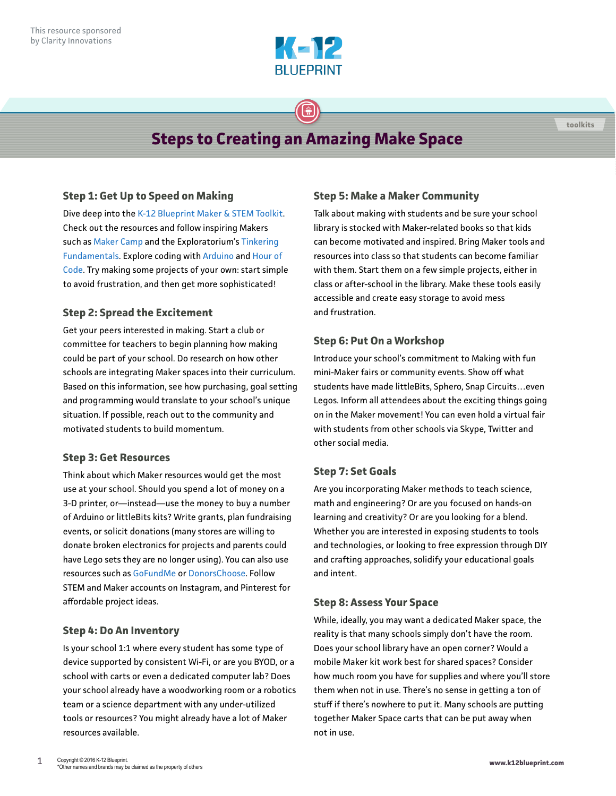

# **Steps to Creating an Amazing Make Space**

 $\bigoplus$ 

### **Step 1: Get Up to Speed on Making**

Dive deep into the [K-12 Blueprint Maker & STEM Toolkit](https://www.k12blueprint.com/toolkits/maker-stem). Check out the resources and follow inspiring Makers such as [Maker Camp](https://makercamp.com/) and the Exploratorium's [Tinkering](http://tinkering.exploratorium.edu/massive-open-online-course)  [Fundamentals](http://tinkering.exploratorium.edu/massive-open-online-course). Explore coding with [Arduino](http://www.arduino.org/) and [Hour of](https://code.org/learn)  [Code](https://code.org/learn). Try making some projects of your own: start simple to avoid frustration, and then get more sophisticated!

### **Step 2: Spread the Excitement**

Get your peers interested in making. Start a club or committee for teachers to begin planning how making could be part of your school. Do research on how other schools are integrating Maker spaces into their curriculum. Based on this information, see how purchasing, goal setting and programming would translate to your school's unique situation. If possible, reach out to the community and motivated students to build momentum.

#### **Step 3: Get Resources**

Think about which Maker resources would get the most use at your school. Should you spend a lot of money on a 3-D printer, or—instead—use the money to buy a number of Arduino or littleBits kits? Write grants, plan fundraising events, or solicit donations (many stores are willing to donate broken electronics for projects and parents could have Lego sets they are no longer using). You can also use resources such as [GoFundMe](https://www.gofundme.com/) or [DonorsChoose](https://www.donorschoose.org/). Follow STEM and Maker accounts on Instagram, and Pinterest for affordable project ideas.

#### **Step 4: Do An Inventory**

Is your school 1:1 where every student has some type of device supported by consistent Wi-Fi, or are you BYOD, or a school with carts or even a dedicated computer lab? Does your school already have a woodworking room or a robotics team or a science department with any under-utilized tools or resources? You might already have a lot of Maker resources available.

#### **Step 5: Make a Maker Community**

Talk about making with students and be sure your school library is stocked with Maker-related books so that kids can become motivated and inspired. Bring Maker tools and resources into class so that students can become familiar with them. Start them on a few simple projects, either in class or after-school in the library. Make these tools easily accessible and create easy storage to avoid mess and frustration.

**toolkits**

#### **Step 6: Put On a Workshop**

Introduce your school's commitment to Making with fun mini-Maker fairs or community events. Show off what students have made littleBits, Sphero, Snap Circuits…even Legos. Inform all attendees about the exciting things going on in the Maker movement! You can even hold a virtual fair with students from other schools via Skype, Twitter and other social media.

#### **Step 7: Set Goals**

Are you incorporating Maker methods to teach science, math and engineering? Or are you focused on hands-on learning and creativity? Or are you looking for a blend. Whether you are interested in exposing students to tools and technologies, or looking to free expression through DIY and crafting approaches, solidify your educational goals and intent.

#### **Step 8: Assess Your Space**

While, ideally, you may want a dedicated Maker space, the reality is that many schools simply don't have the room. Does your school library have an open corner? Would a mobile Maker kit work best for shared spaces? Consider how much room you have for supplies and where you'll store them when not in use. There's no sense in getting a ton of stuff if there's nowhere to put it. Many schools are putting together Maker Space carts that can be put away when not in use.